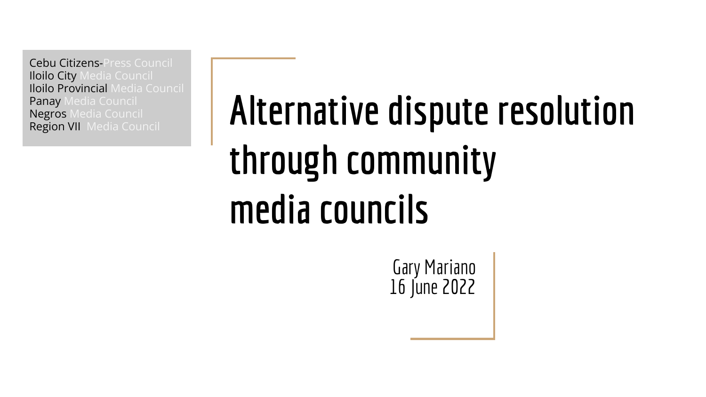Cebu Citizens-Press Council Iloilo City Media Council Iloilo Provincial Media Council Panay Media Council Negros Media Council Region VII Media Council

## **Alternative dispute resolution through community media councils**

Gary Mariano 16 June 2022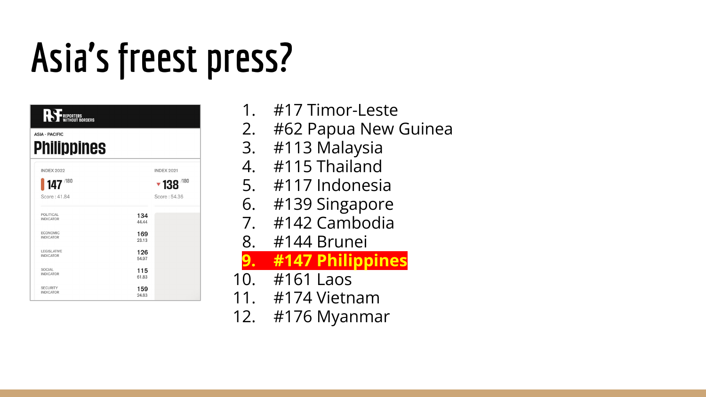## **Asia's freest press?**

| <b>RS</b> FREPORTERS                   |              |                   |
|----------------------------------------|--------------|-------------------|
| <b>ASIA - PACIFIC</b>                  |              |                   |
| <b>Philippines</b>                     |              |                   |
|                                        |              |                   |
| <b>INDEX 2022</b>                      |              | <b>INDEX 2021</b> |
| $147$ <sup>780</sup>                   |              | /180<br>▼138      |
| Score: 41.84                           |              | Score: 54.36      |
| POLITICAL<br><b>INDICATOR</b>          | 134<br>44.44 |                   |
| <b>ECONOMIC</b><br><b>INDICATOR</b>    | 169<br>23.13 |                   |
| <b>LEGISLATIVE</b><br><b>INDICATOR</b> | 126<br>54.97 |                   |
| <b>SOCIAL</b><br><b>INDICATOR</b>      | 115<br>61.83 |                   |
| <b>SECURITY</b><br><b>INDICATOR</b>    | 159<br>24.83 |                   |

- #17 Timor-Leste
- 2. #62 Papua New Guinea
- 3. #113 Malaysia
- 4. #115 Thailand
- 5. #117 Indonesia
- 6. #139 Singapore
- 7. #142 Cambodia
- 8. #144 Brunei

**9. #147 Philippines**

- 10. #161 Laos
- 11. #174 Vietnam
- 12. #176 Myanmar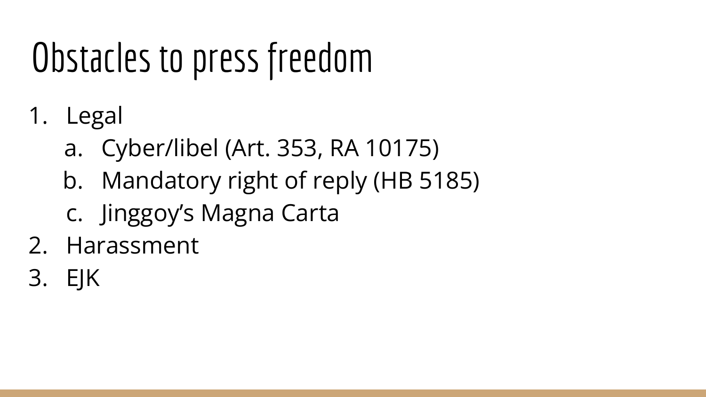### Obstacles to press freedom

- 1. Legal
	- a. Cyber/libel (Art. 353, RA 10175)
	- b. Mandatory right of reply (HB 5185)
	- c. Jinggoy's Magna Carta
- 2. Harassment
- 3. EJK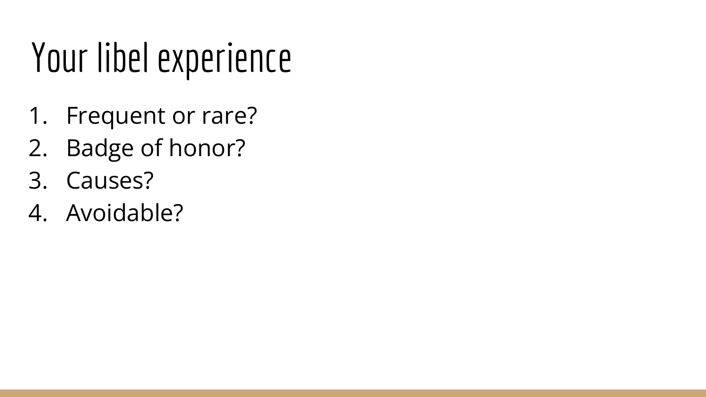### Your libel experience

- 1. Frequent or rare?
- 2. Badge of honor?
- 3. Causes?
- 4. Avoidable?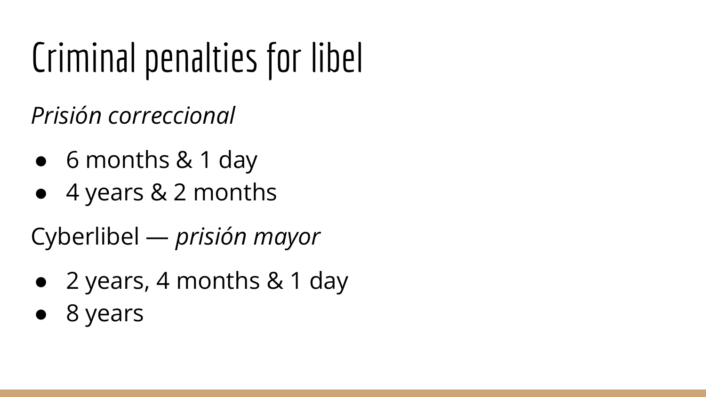### Criminal penalties for libel

*Prisión correccional*

- 6 months & 1 day
- 4 years & 2 months

Cyberlibel — *prisión mayor*

- 2 years, 4 months & 1 day
- 8 years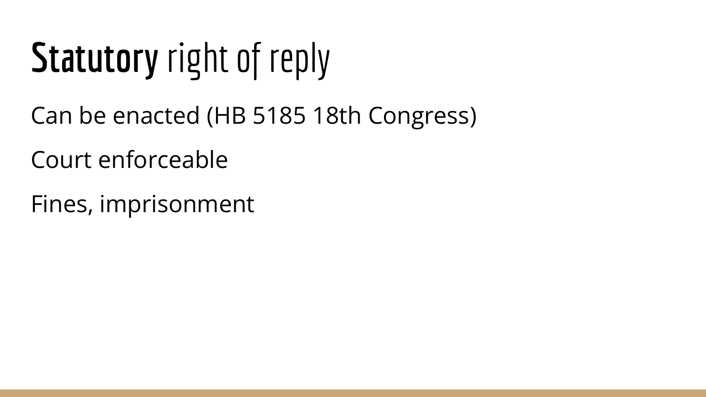## **Statutory** right of reply

- Can be enacted ([HB 5185 18th Congress](https://hrep-website.s3.ap-southeast-1.amazonaws.com/legisdocs/basic_18/HB05185.pdf))
- Court enforceable
- Fines, imprisonment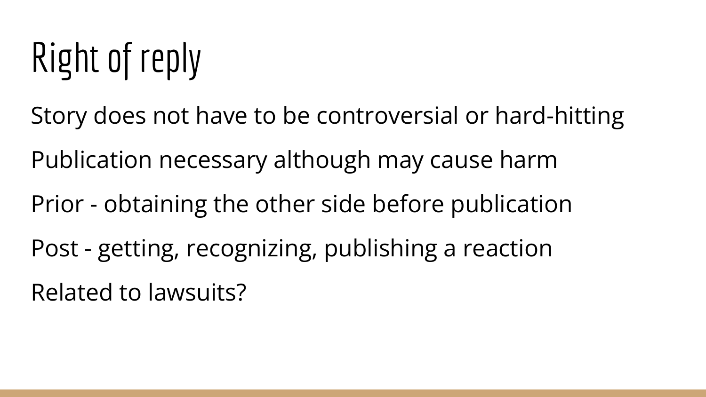## Right of reply

Story does not have to be controversial or hard-hitting

Publication necessary although may cause harm

Prior - obtaining the other side before publication

Post - getting, recognizing, publishing a reaction Related to lawsuits?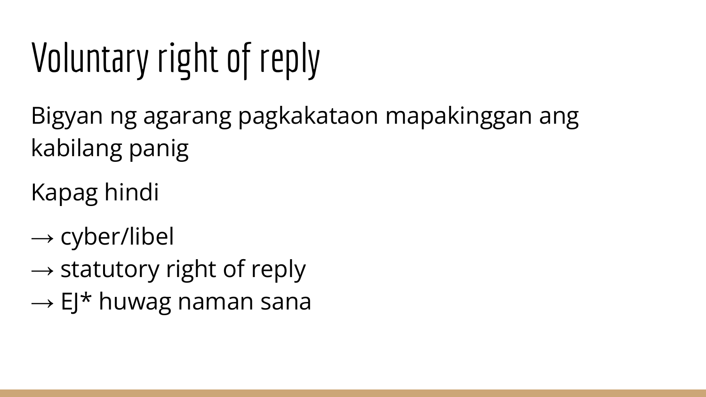## Voluntary right of reply

Bigyan ng agarang pagkakataon mapakinggan ang kabilang panig

Kapag hindi

- $\rightarrow$  cyber/libel
- $\rightarrow$  statutory right of reply
- $\rightarrow$  EJ\* huwag naman sana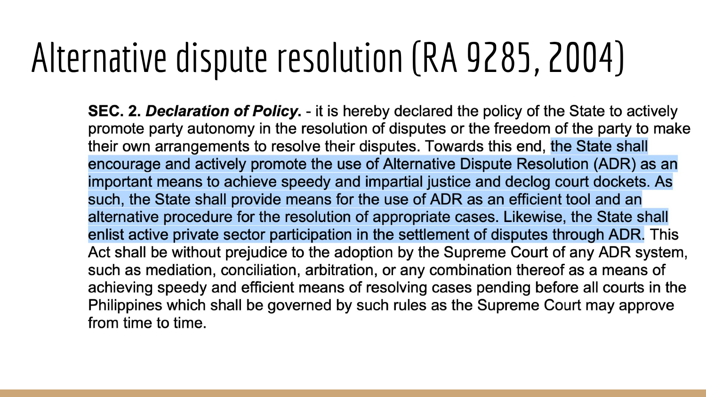#### Alternative dispute resolution ([RA 9285,](https://hrep-website.s3.ap-southeast-1.amazonaws.com/legisdocs/ra_12/RA09285.pdf) 2004)

**SEC. 2. Declaration of Policy.** - it is hereby declared the policy of the State to actively promote party autonomy in the resolution of disputes or the freedom of the party to make their own arrangements to resolve their disputes. Towards this end, the State shall encourage and actively promote the use of Alternative Dispute Resolution (ADR) as an important means to achieve speedy and impartial justice and declog court dockets. As such, the State shall provide means for the use of ADR as an efficient tool and an alternative procedure for the resolution of appropriate cases. Likewise, the State shall enlist active private sector participation in the settlement of disputes through ADR. This Act shall be without prejudice to the adoption by the Supreme Court of any ADR system, such as mediation, conciliation, arbitration, or any combination thereof as a means of achieving speedy and efficient means of resolving cases pending before all courts in the Philippines which shall be governed by such rules as the Supreme Court may approve from time to time.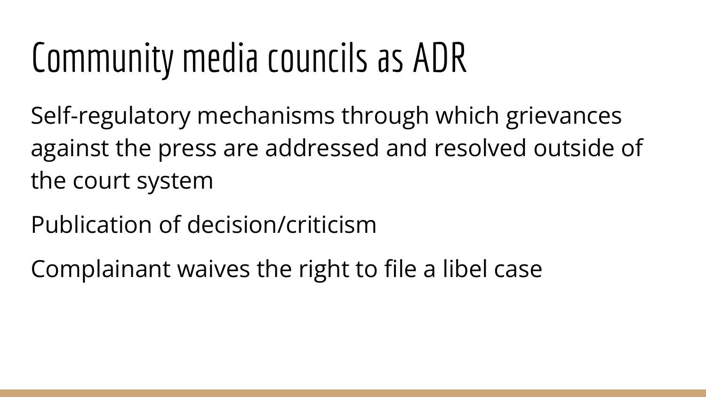#### Community media councils as ADR

Self-regulatory mechanisms through which grievances against the press are addressed and resolved outside of the court system

Publication of decision/criticism

Complainant waives the right to file a libel case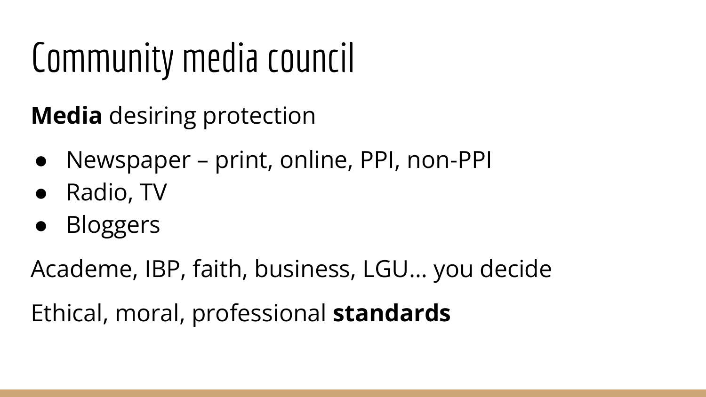#### Community media council

**Media** desiring protection

- Newspaper print, online, PPI, non-PPI
- Radio, TV
- **Bloggers**

Academe, IBP, faith, business, LGU… you decide

Ethical, moral, professional **standards**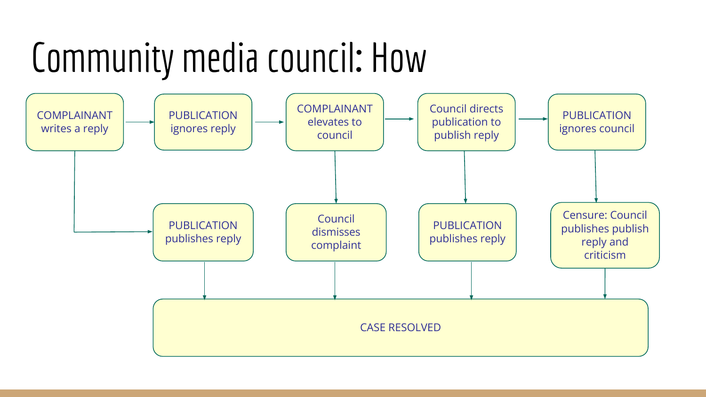#### Community media council**:** How

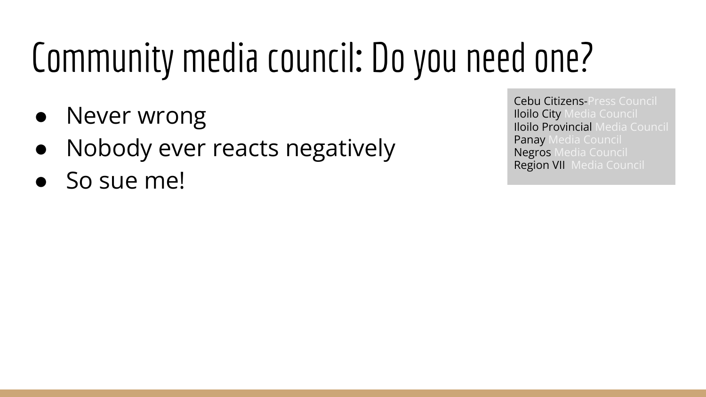## Community media council**:** Do you need one?

- Never wrong
- Nobody ever reacts negatively
- So sue me!

Cebu Citizens-Press Council Iloilo City Media Council Iloilo Provincial Media Council Panay Media Council Negros Media Council Region VII Media Council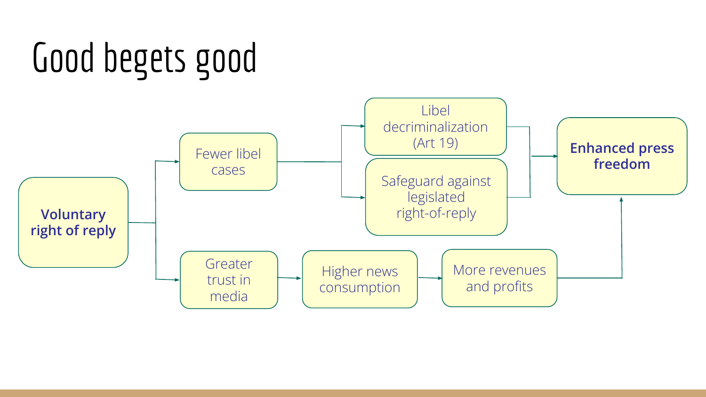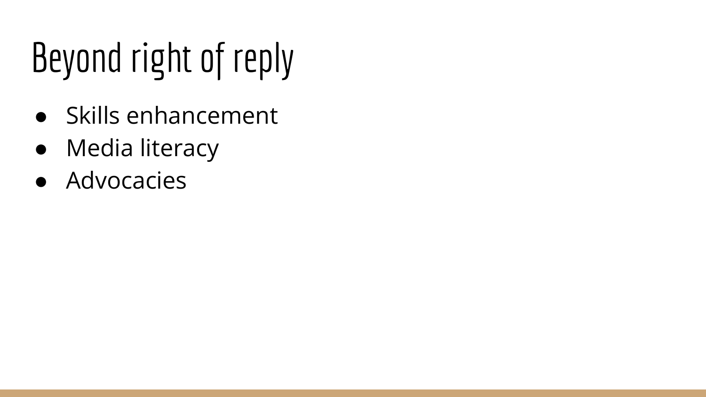## Beyond right of reply

- Skills enhancement
- Media literacy
- Advocacies